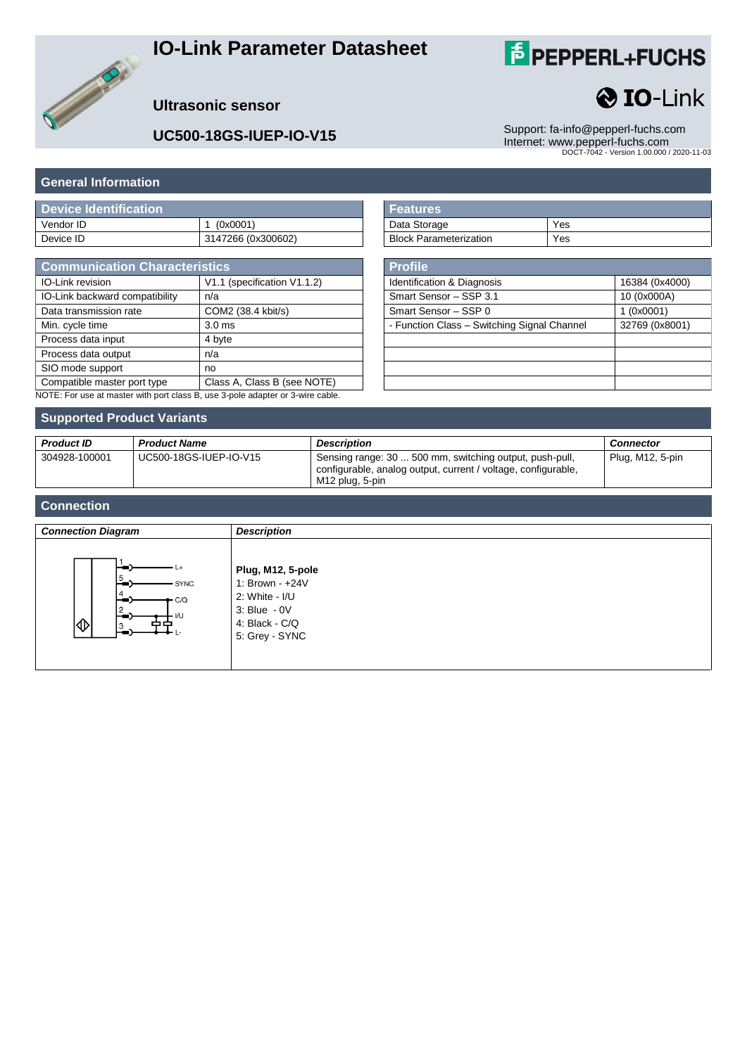## **IO-Link Parameter Datasheet**

# **F** PEPPERL+FUCHS

**O** IO-Link



#### **Ultrasonic sensor**

**UC500-18GS-IUEP-IO-V15** Support: [fa-info@pepperl-fuchs.com](mailto:fa-info@pepperl-fuchs.com) Internet: www.pepperl-fuchs.com DOCT-7042 - Version 1.00.000 / 2020-11-03

#### **General Information**

| Device Identification |                    |
|-----------------------|--------------------|
| Vendor ID             | 1 (0x0001)         |
| Device ID             | 3147266 (0x300602) |

| <b>Communication Characteristics</b>                                           |                             |
|--------------------------------------------------------------------------------|-----------------------------|
| IO-Link revision                                                               | V1.1 (specification V1.1.2) |
| IO-Link backward compatibility                                                 | n/a                         |
| Data transmission rate                                                         | COM2 (38.4 kbit/s)          |
| Min. cycle time                                                                | 3.0 <sub>ms</sub>           |
| Process data input                                                             | 4 byte                      |
| Process data output                                                            | n/a                         |
| SIO mode support                                                               | no                          |
| Compatible master port type                                                    | Class A, Class B (see NOTE) |
| NOTE: For use at master with port class B, use 3-pole adapter or 3-wire cable. |                             |

| l Features                    |     |
|-------------------------------|-----|
| Data Storage                  | Yes |
| <b>Block Parameterization</b> | Yes |

| <b>Profile</b>                              |                |
|---------------------------------------------|----------------|
| Identification & Diagnosis                  | 16384 (0x4000) |
| Smart Sensor - SSP 3.1                      | 10 (0x000A)    |
| Smart Sensor - SSP 0                        | (0x0001)       |
| - Function Class - Switching Signal Channel | 32769 (0x8001) |
|                                             |                |
|                                             |                |
|                                             |                |
|                                             |                |

#### **Supported Product Variants**

| <b>Product ID</b> | <b>Product Name</b>    | <b>Description</b>                                                                                                                          | <b>Connector</b> |
|-------------------|------------------------|---------------------------------------------------------------------------------------------------------------------------------------------|------------------|
| 304928-100001     | UC500-18GS-IUEP-IO-V15 | Sensing range: 30  500 mm, switching output, push-pull,<br>configurable, analog output, current / voltage, configurable,<br>M12 plug, 5-pin | Plug, M12, 5-pin |

#### **Connection**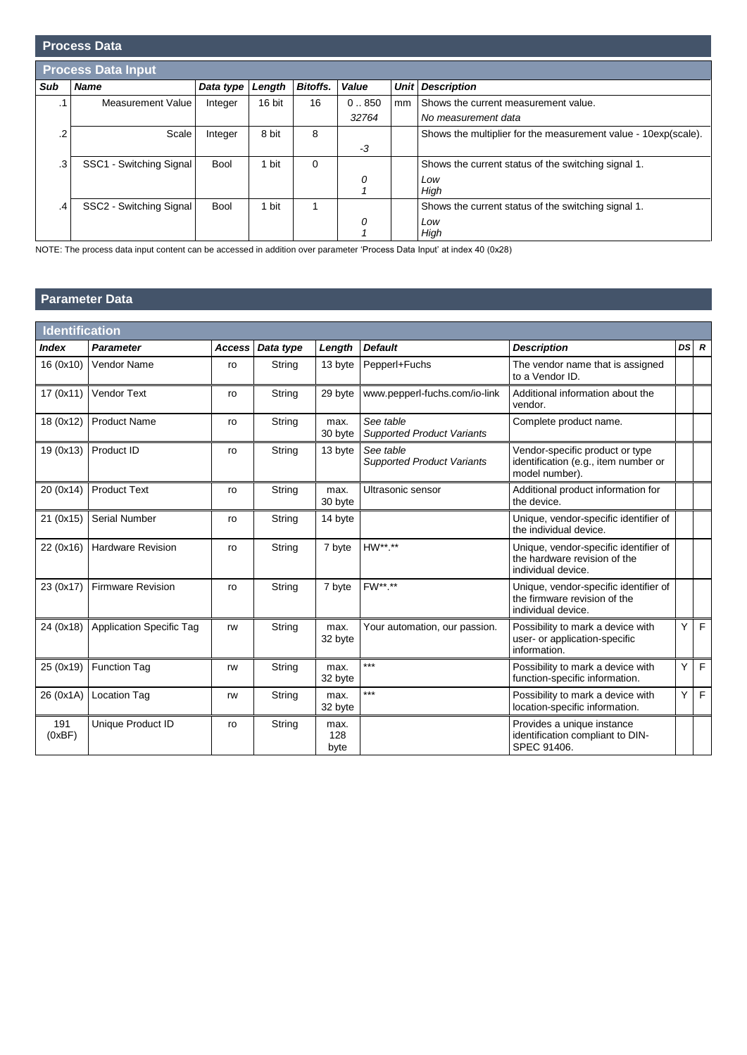|           | <b>Process Data</b>       |             |        |                 |       |             |                                                                |
|-----------|---------------------------|-------------|--------|-----------------|-------|-------------|----------------------------------------------------------------|
|           | <b>Process Data Input</b> |             |        |                 |       |             |                                                                |
| Sub       | <b>Name</b>               | Data type   | Length | <b>Bitoffs.</b> | Value | <b>Unit</b> | <b>Description</b>                                             |
| $\cdot$ 1 | Measurement Value         | Integer     | 16 bit | 16              | 0.850 | mm          | Shows the current measurement value.                           |
|           |                           |             |        |                 | 32764 |             | No measurement data                                            |
| .2        | Scale                     | Integer     | 8 bit  | 8               |       |             | Shows the multiplier for the measurement value - 10exp(scale). |
|           |                           |             |        |                 | $-3$  |             |                                                                |
| .3        | SSC1 - Switching Signal   | Bool        | 1 bit  | $\Omega$        |       |             | Shows the current status of the switching signal 1.            |
|           |                           |             |        |                 | 0     |             | Low                                                            |
|           |                           |             |        |                 |       |             | High                                                           |
| $\cdot$ 4 | SSC2 - Switching Signal   | <b>Bool</b> | 1 bit  |                 |       |             | Shows the current status of the switching signal 1.            |
|           |                           |             |        |                 | 0     |             | Low                                                            |
|           |                           |             |        |                 |       |             | High                                                           |

NOTE: The process data input content can be accessed in addition over parameter 'Process Data Input' at index 40 (0x28)

### **Parameter Data**

| <b>Identification</b> |                                 |               |           |                     |                                                |                                                                                             |     |                |
|-----------------------|---------------------------------|---------------|-----------|---------------------|------------------------------------------------|---------------------------------------------------------------------------------------------|-----|----------------|
| <b>Index</b>          | <b>Parameter</b>                | <b>Access</b> | Data type | Length              | <b>Default</b>                                 | <b>Description</b>                                                                          |     | $DS$ $R$       |
| 16 (0x10)             | Vendor Name                     | ro            | String    | 13 byte             | Pepperl+Fuchs                                  | The vendor name that is assigned<br>to a Vendor ID.                                         |     |                |
| 17(0x11)              | <b>Vendor Text</b>              | ro            | String    | 29 byte             | www.pepperl-fuchs.com/io-link                  | Additional information about the<br>vendor.                                                 |     |                |
| 18 (0x12)             | <b>Product Name</b>             | ro            | String    | max.<br>30 byte     | See table<br><b>Supported Product Variants</b> | Complete product name.                                                                      |     |                |
| 19 (0x13)             | Product ID                      | ro            | String    | 13 byte             | See table<br><b>Supported Product Variants</b> | Vendor-specific product or type<br>identification (e.g., item number or<br>model number).   |     |                |
| 20 (0x14)             | <b>Product Text</b>             | ro            | String    | max.<br>30 byte     | Ultrasonic sensor                              | Additional product information for<br>the device.                                           |     |                |
| 21 (0x15)             | <b>Serial Number</b>            | ro            | String    | 14 byte             |                                                | Unique, vendor-specific identifier of<br>the individual device.                             |     |                |
| 22 (0x16)             | <b>Hardware Revision</b>        | ro            | String    | 7 byte              | HW**.**                                        | Unique, vendor-specific identifier of<br>the hardware revision of the<br>individual device. |     |                |
| 23 (0x17)             | <b>Firmware Revision</b>        | ro            | String    | 7 byte              | FW**.**                                        | Unique, vendor-specific identifier of<br>the firmware revision of the<br>individual device. |     |                |
| 24 (0x18)             | <b>Application Specific Tag</b> | rw            | String    | max.<br>32 byte     | Your automation, our passion.                  | Possibility to mark a device with<br>user- or application-specific<br>information.          | Y   | E              |
| 25 (0x19)             | <b>Function Tag</b>             | rw            | String    | max.<br>32 byte     | ***                                            | Possibility to mark a device with<br>function-specific information.                         | Υ   | $\mathsf F$    |
| 26 (0x1A)             | <b>Location Tag</b>             | rw            | String    | max.<br>32 byte     | ***                                            | Possibility to mark a device with<br>location-specific information.                         | Y I | $\overline{F}$ |
| 191<br>(0xBF)         | Unique Product ID               | ro            | String    | max.<br>128<br>byte |                                                | Provides a unique instance<br>identification compliant to DIN-<br>SPEC 91406.               |     |                |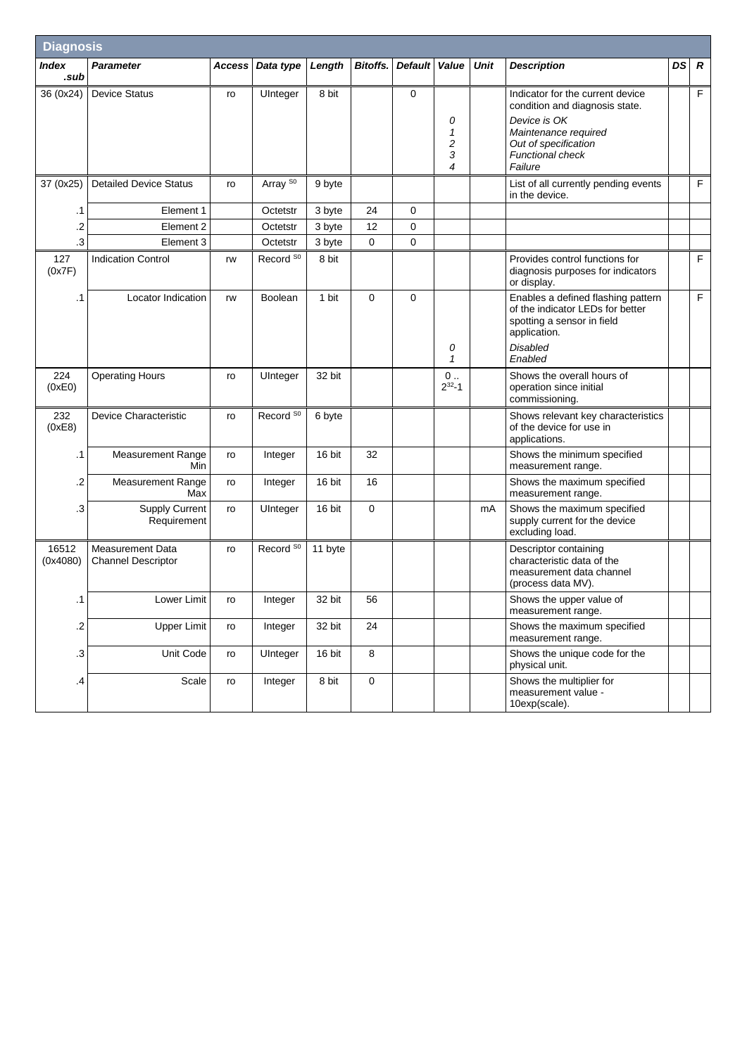| <b>Diagnosis</b>  |                                                      |        |                      |         |                 |                |                                             |      |                                                                                                                                                                          |    |                  |
|-------------------|------------------------------------------------------|--------|----------------------|---------|-----------------|----------------|---------------------------------------------|------|--------------------------------------------------------------------------------------------------------------------------------------------------------------------------|----|------------------|
| Index<br>.sub     | <b>Parameter</b>                                     | Access | Data type            | Length  | <b>Bitoffs.</b> | <b>Default</b> | Value                                       | Unit | <b>Description</b>                                                                                                                                                       | DS | $\boldsymbol{R}$ |
| 36 (0x24)         | <b>Device Status</b>                                 | ro     | UInteger             | 8 bit   |                 | 0              | 0<br>1<br>$\overline{\mathbf{c}}$<br>3<br>4 |      | Indicator for the current device<br>condition and diagnosis state.<br>Device is OK<br>Maintenance required<br>Out of specification<br><b>Functional check</b><br>Failure |    | F                |
| 37 (0x25)         | <b>Detailed Device Status</b>                        | ro     | Array <sup>S0</sup>  | 9 byte  |                 |                |                                             |      | List of all currently pending events<br>in the device.                                                                                                                   |    | F                |
| .1                | Element 1                                            |        | Octetstr             | 3 byte  | 24              | 0              |                                             |      |                                                                                                                                                                          |    |                  |
| .2                | Element 2                                            |        | Octetstr             | 3 byte  | 12              | 0              |                                             |      |                                                                                                                                                                          |    |                  |
| .3                | Element 3                                            |        | Octetstr             | 3 byte  | $\mathbf 0$     | 0              |                                             |      |                                                                                                                                                                          |    |                  |
| 127<br>(0x7F)     | <b>Indication Control</b>                            | rw     | Record <sup>S0</sup> | 8 bit   |                 |                |                                             |      | Provides control functions for<br>diagnosis purposes for indicators<br>or display.                                                                                       |    | F                |
| .1                | Locator Indication                                   | rw     | Boolean              | 1 bit   | $\mathbf 0$     | 0              | 0<br>1                                      |      | Enables a defined flashing pattern<br>of the indicator LEDs for better<br>spotting a sensor in field<br>application.<br><b>Disabled</b><br>Enabled                       |    | F                |
| 224<br>(0xE0)     | <b>Operating Hours</b>                               | ro     | UInteger             | 32 bit  |                 |                | $0$<br>$2^{32} - 1$                         |      | Shows the overall hours of<br>operation since initial<br>commissioning.                                                                                                  |    |                  |
| 232<br>(0xE8)     | Device Characteristic                                | ro     | Record <sup>S0</sup> | 6 byte  |                 |                |                                             |      | Shows relevant key characteristics<br>of the device for use in<br>applications.                                                                                          |    |                  |
| .1                | <b>Measurement Range</b><br>Min                      | ro     | Integer              | 16 bit  | 32              |                |                                             |      | Shows the minimum specified<br>measurement range.                                                                                                                        |    |                  |
| .2                | <b>Measurement Range</b><br>Max                      | ro     | Integer              | 16 bit  | 16              |                |                                             |      | Shows the maximum specified<br>measurement range.                                                                                                                        |    |                  |
| .3                | <b>Supply Current</b><br>Requirement                 | ro     | UInteger             | 16 bit  | $\mathbf 0$     |                |                                             | mA   | Shows the maximum specified<br>supply current for the device<br>excluding load.                                                                                          |    |                  |
| 16512<br>(0x4080) | <b>Measurement Data</b><br><b>Channel Descriptor</b> | ro     | Record <sup>S0</sup> | 11 byte |                 |                |                                             |      | Descriptor containing<br>characteristic data of the<br>measurement data channel<br>(process data MV).                                                                    |    |                  |
| .1                | Lower Limit                                          | ro     | Integer              | 32 bit  | 56              |                |                                             |      | Shows the upper value of<br>measurement range.                                                                                                                           |    |                  |
| $\cdot$           | <b>Upper Limit</b>                                   | ro     | Integer              | 32 bit  | 24              |                |                                             |      | Shows the maximum specified<br>measurement range.                                                                                                                        |    |                  |
| .3                | Unit Code                                            | ro     | UInteger             | 16 bit  | 8               |                |                                             |      | Shows the unique code for the<br>physical unit.                                                                                                                          |    |                  |
| $\cdot$           | Scale                                                | ro     | Integer              | 8 bit   | $\mathbf 0$     |                |                                             |      | Shows the multiplier for<br>measurement value -<br>10exp(scale).                                                                                                         |    |                  |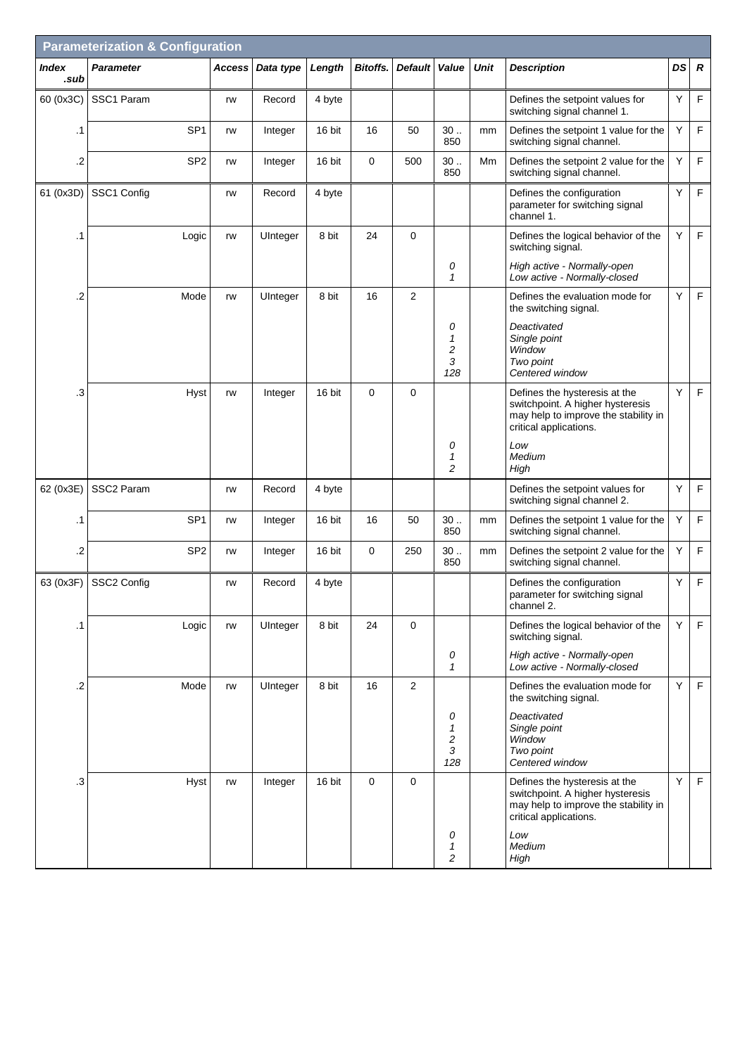| <b>Parameterization &amp; Configuration</b> |                  |                 |        |           |        |                 |                |                                    |             |                                                                                                                                     |    |                  |
|---------------------------------------------|------------------|-----------------|--------|-----------|--------|-----------------|----------------|------------------------------------|-------------|-------------------------------------------------------------------------------------------------------------------------------------|----|------------------|
| Index<br>.sub                               | <b>Parameter</b> |                 | Access | Data type | Length | <b>Bitoffs.</b> | <b>Default</b> | Value                              | <b>Unit</b> | <b>Description</b>                                                                                                                  | DS | $\boldsymbol{R}$ |
| 60 (0x3C)                                   | SSC1 Param       |                 | rw     | Record    | 4 byte |                 |                |                                    |             | Defines the setpoint values for<br>switching signal channel 1.                                                                      | Y  | $\mathsf F$      |
| .1                                          |                  | SP <sub>1</sub> | rw     | Integer   | 16 bit | 16              | 50             | 30.<br>850                         | mm          | Defines the setpoint 1 value for the<br>switching signal channel.                                                                   | Y  | F                |
| .2                                          |                  | SP <sub>2</sub> | rw     | Integer   | 16 bit | $\mathbf 0$     | 500            | 30.<br>850                         | Mm          | Defines the setpoint 2 value for the<br>switching signal channel.                                                                   | Y  | F                |
| 61 (0x3D)                                   | SSC1 Config      |                 | rw     | Record    | 4 byte |                 |                |                                    |             | Defines the configuration<br>parameter for switching signal<br>channel 1.                                                           | Y  | $\mathsf F$      |
| .1                                          |                  | Logic           | rw     | UInteger  | 8 bit  | 24              | 0              |                                    |             | Defines the logical behavior of the<br>switching signal.                                                                            | Y  | $\mathsf F$      |
|                                             |                  |                 |        |           |        |                 |                | 0<br>$\mathbf{1}$                  |             | High active - Normally-open<br>Low active - Normally-closed                                                                         |    |                  |
| .2                                          |                  | Mode            | rw     | UInteger  | 8 bit  | 16              | $\overline{2}$ |                                    |             | Defines the evaluation mode for<br>the switching signal.                                                                            | Y  | F                |
|                                             |                  |                 |        |           |        |                 |                | 0<br>1<br>2<br>3<br>128            |             | Deactivated<br>Single point<br>Window<br>Two point<br>Centered window                                                               |    |                  |
| .3                                          |                  | Hyst            | rw     | Integer   | 16 bit | $\mathbf 0$     | 0              |                                    |             | Defines the hysteresis at the<br>switchpoint. A higher hysteresis<br>may help to improve the stability in<br>critical applications. | Y  | $\mathsf F$      |
|                                             |                  |                 |        |           |        |                 |                | 0<br>$\mathbf{1}$<br>2             |             | Low<br>Medium<br>High                                                                                                               |    |                  |
| 62 (0x3E)                                   | SSC2 Param       |                 | rw     | Record    | 4 byte |                 |                |                                    |             | Defines the setpoint values for<br>switching signal channel 2.                                                                      | Υ  | F                |
| .1                                          |                  | SP <sub>1</sub> | rw     | Integer   | 16 bit | 16              | 50             | 30.<br>850                         | mm          | Defines the setpoint 1 value for the<br>switching signal channel.                                                                   | Y  | F                |
| .2                                          |                  | SP <sub>2</sub> | rw     | Integer   | 16 bit | $\mathbf 0$     | 250            | 30.<br>850                         | mm          | Defines the setpoint 2 value for the<br>switching signal channel.                                                                   | Y  | $\mathsf F$      |
| 63 (0x3F)                                   | SSC2 Config      |                 | rw     | Record    | 4 byte |                 |                |                                    |             | Defines the configuration<br>parameter for switching signal<br>channel 2.                                                           | Y  | F                |
| $\cdot$ 1                                   |                  | Logic           | rw     | UInteger  | 8 bit  | 24              | $\mathsf 0$    |                                    |             | Defines the logical behavior of the<br>switching signal.                                                                            | Y  | $\mathsf F$      |
|                                             |                  |                 |        |           |        |                 |                | 0<br>$\mathcal I$                  |             | High active - Normally-open<br>Low active - Normally-closed                                                                         |    |                  |
| $\cdot$ .2                                  |                  | Mode            | rw     | UInteger  | 8 bit  | 16              | $\overline{c}$ |                                    |             | Defines the evaluation mode for<br>the switching signal.                                                                            | Υ  | $\mathsf F$      |
|                                             |                  |                 |        |           |        |                 |                | 0<br>$\mathbf{1}$<br>2<br>3<br>128 |             | Deactivated<br>Single point<br>Window<br>Two point<br>Centered window                                                               |    |                  |
| $\cdot$ 3                                   |                  | Hyst            | rw     | Integer   | 16 bit | $\mathbf 0$     | 0              |                                    |             | Defines the hysteresis at the<br>switchpoint. A higher hysteresis<br>may help to improve the stability in<br>critical applications. | Y  | $\mathsf F$      |
|                                             |                  |                 |        |           |        |                 |                | 0<br>1<br>2                        |             | Low<br>Medium<br>High                                                                                                               |    |                  |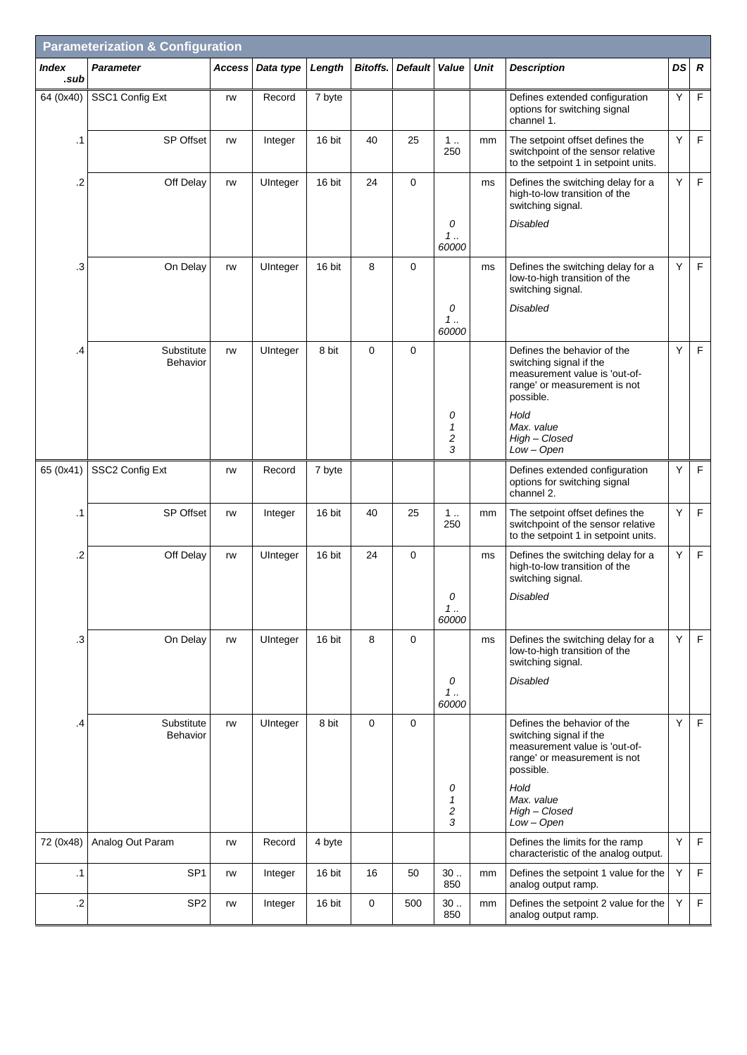| <b>Parameterization &amp; Configuration</b> |                        |        |           |        |             |                |                                                   |             |                                                                                                                                      |    |                  |
|---------------------------------------------|------------------------|--------|-----------|--------|-------------|----------------|---------------------------------------------------|-------------|--------------------------------------------------------------------------------------------------------------------------------------|----|------------------|
| Index<br>.sub                               | <b>Parameter</b>       | Access | Data type | Length | Bitoffs.    | <b>Default</b> | Value                                             | <b>Unit</b> | <b>Description</b>                                                                                                                   | DS | $\boldsymbol{R}$ |
| 64 (0x40)                                   | SSC1 Config Ext        | rw     | Record    | 7 byte |             |                |                                                   |             | Defines extended configuration<br>options for switching signal<br>channel 1.                                                         | Y  | F                |
| .1                                          | <b>SP Offset</b>       | rw     | Integer   | 16 bit | 40          | 25             | 1<br>250                                          | mm          | The setpoint offset defines the<br>switchpoint of the sensor relative<br>to the setpoint 1 in setpoint units.                        | Y  | $\mathsf F$      |
| .2                                          | Off Delay              | rw     | UInteger  | 16 bit | 24          | 0              |                                                   | ms          | Defines the switching delay for a<br>high-to-low transition of the<br>switching signal.                                              | Υ  | F.               |
|                                             |                        |        |           |        |             |                | 0<br>1<br>60000                                   |             | <b>Disabled</b>                                                                                                                      |    |                  |
| .3                                          | On Delay               | rw     | UInteger  | 16 bit | 8           | 0              |                                                   | ms          | Defines the switching delay for a<br>low-to-high transition of the<br>switching signal.                                              | Y  | $\mathsf F$      |
|                                             |                        |        |           |        |             |                | 0<br>1.1<br>60000                                 |             | <b>Disabled</b>                                                                                                                      |    |                  |
| .4                                          | Substitute<br>Behavior | rw     | UInteger  | 8 bit  | $\mathbf 0$ | 0              |                                                   |             | Defines the behavior of the<br>switching signal if the<br>measurement value is 'out-of-<br>range' or measurement is not<br>possible. | Y  | F                |
|                                             |                        |        |           |        |             |                | 0<br>$\mathbf{1}$<br>$\overline{\mathbf{c}}$<br>3 |             | Hold<br>Max. value<br>High - Closed<br>Low - Open                                                                                    |    |                  |
| 65 (0x41)                                   | SSC2 Config Ext        | rw     | Record    | 7 byte |             |                |                                                   |             | Defines extended configuration<br>options for switching signal<br>channel 2.                                                         | Y  | $\mathsf F$      |
| .1                                          | SP Offset              | rw     | Integer   | 16 bit | 40          | 25             | 1.<br>250                                         | mm          | The setpoint offset defines the<br>switchpoint of the sensor relative<br>to the setpoint 1 in setpoint units.                        | Υ  | $\mathsf F$      |
| .2                                          | Off Delay              | rw     | UInteger  | 16 bit | 24          | $\mathbf 0$    |                                                   | ms          | Defines the switching delay for a<br>high-to-low transition of the<br>switching signal.                                              | Y  | $\mathsf F$      |
|                                             |                        |        |           |        |             |                | 0<br>$1$<br>60000                                 |             | Disabled                                                                                                                             |    |                  |
| .3                                          | On Delay               | rw     | UInteger  | 16 bit | 8           | 0              |                                                   | ms          | Defines the switching delay for a<br>low-to-high transition of the<br>switching signal.                                              | Y  | F                |
|                                             |                        |        |           |        |             |                | 0<br>1<br>60000                                   |             | <b>Disabled</b>                                                                                                                      |    |                  |
| .4                                          | Substitute<br>Behavior | rw     | UInteger  | 8 bit  | $\mathbf 0$ | 0              |                                                   |             | Defines the behavior of the<br>switching signal if the<br>measurement value is 'out-of-<br>range' or measurement is not<br>possible. | Υ  | F                |
|                                             |                        |        |           |        |             |                | 0<br>1<br>$\overline{\mathbf{c}}$<br>3            |             | Hold<br>Max. value<br>High - Closed<br>$Low - Open$                                                                                  |    |                  |
| 72 (0x48)                                   | Analog Out Param       | rw     | Record    | 4 byte |             |                |                                                   |             | Defines the limits for the ramp<br>characteristic of the analog output.                                                              | Y  | F                |
| .1                                          | SP <sub>1</sub>        | rw     | Integer   | 16 bit | 16          | 50             | 30.<br>850                                        | mm          | Defines the setpoint 1 value for the<br>analog output ramp.                                                                          | Υ  | F.               |
| $\cdot$                                     | SP <sub>2</sub>        | rw     | Integer   | 16 bit | 0           | 500            | 30.<br>850                                        | mm          | Defines the setpoint 2 value for the<br>analog output ramp.                                                                          | Υ  | F                |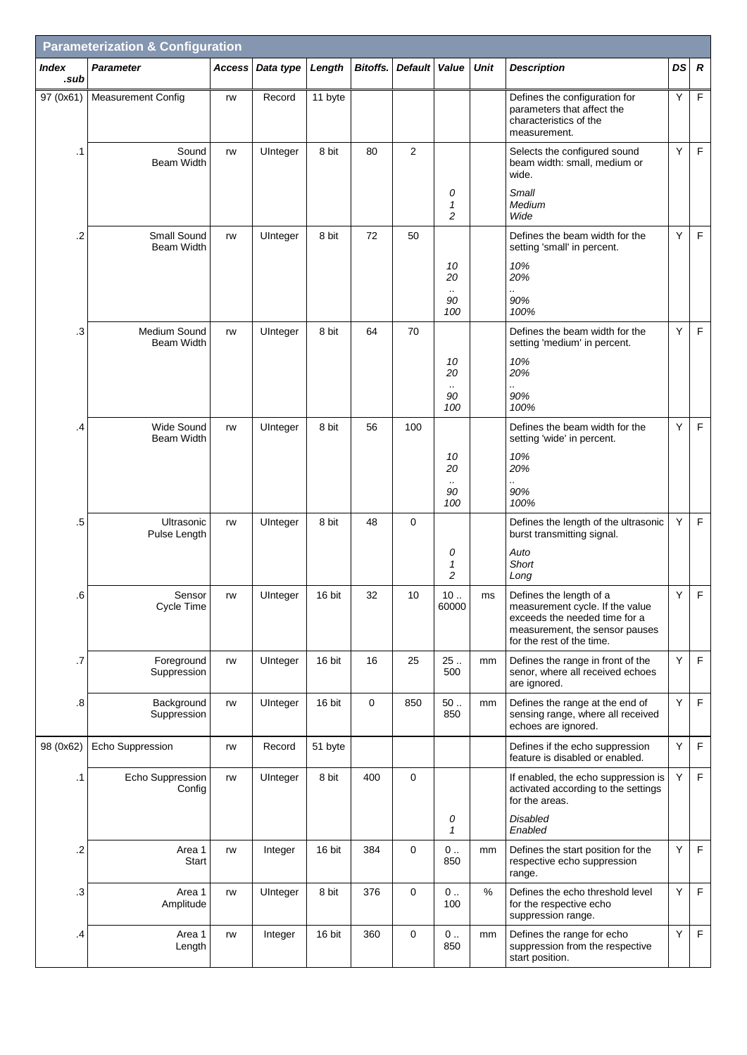| <b>Parameterization &amp; Configuration</b> |                                  |        |           |         |                 |                |                                              |             |                                                                                                                                                            |    |                  |
|---------------------------------------------|----------------------------------|--------|-----------|---------|-----------------|----------------|----------------------------------------------|-------------|------------------------------------------------------------------------------------------------------------------------------------------------------------|----|------------------|
| <b>Index</b><br>.sub                        | <b>Parameter</b>                 | Access | Data type | Length  | <b>Bitoffs.</b> | <b>Default</b> | Value                                        | <b>Unit</b> | <b>Description</b>                                                                                                                                         | DS | $\boldsymbol{R}$ |
| 97 (0x61)                                   | <b>Measurement Config</b>        | rw     | Record    | 11 byte |                 |                |                                              |             | Defines the configuration for<br>parameters that affect the<br>characteristics of the<br>measurement.                                                      | Υ  | F.               |
| $\cdot$ 1                                   | Sound<br><b>Beam Width</b>       | rw     | UInteger  | 8 bit   | 80              | $\overline{2}$ |                                              |             | Selects the configured sound<br>beam width: small, medium or<br>wide.                                                                                      | Y  | $\mathsf F$      |
|                                             |                                  |        |           |         |                 |                | 0<br>$\mathbf{1}$<br>2                       |             | Small<br>Medium<br>Wide                                                                                                                                    |    |                  |
| .2                                          | Small Sound<br><b>Beam Width</b> | rw     | UInteger  | 8 bit   | 72              | 50             |                                              |             | Defines the beam width for the<br>setting 'small' in percent.                                                                                              | Υ  | $\mathsf F$      |
|                                             |                                  |        |           |         |                 |                | 10<br>20<br>$\cdot$ .                        |             | 10%<br>20%                                                                                                                                                 |    |                  |
|                                             |                                  |        |           |         |                 |                | 90<br>100                                    |             | 90%<br>100%                                                                                                                                                |    |                  |
| .3                                          | Medium Sound<br>Beam Width       | rw     | UInteger  | 8 bit   | 64              | 70             |                                              |             | Defines the beam width for the<br>setting 'medium' in percent.                                                                                             | Y  | $\mathsf F$      |
|                                             |                                  |        |           |         |                 |                | 10<br>20<br>$\cdot$ .                        |             | 10%<br>20%<br>                                                                                                                                             |    |                  |
|                                             |                                  |        |           |         |                 |                | 90<br>100                                    |             | 90%<br>100%                                                                                                                                                |    |                  |
| $\cdot$                                     | <b>Wide Sound</b><br>Beam Width  | rw     | UInteger  | 8 bit   | 56              | 100            |                                              |             | Defines the beam width for the<br>setting 'wide' in percent.                                                                                               | Y  | $\mathsf F$      |
|                                             |                                  |        |           |         |                 |                | 10<br>20<br>$\cdot$ .                        |             | 10%<br>20%<br>                                                                                                                                             |    |                  |
|                                             |                                  |        |           |         |                 |                | 90<br>100                                    |             | 90%<br>100%                                                                                                                                                |    |                  |
| .5                                          | Ultrasonic<br>Pulse Length       | rw     | UInteger  | 8 bit   | 48              | $\mathbf 0$    |                                              |             | Defines the length of the ultrasonic<br>burst transmitting signal.                                                                                         | Y  | F                |
|                                             |                                  |        |           |         |                 |                | 0<br>$\mathbf{1}$<br>$\overline{\mathbf{c}}$ |             | Auto<br>Short<br>Long                                                                                                                                      |    |                  |
| .6                                          | Sensor<br>Cycle Time             | rw     | UInteger  | 16 bit  | 32              | 10             | 10<br>60000                                  | ms          | Defines the length of a<br>measurement cycle. If the value<br>exceeds the needed time for a<br>measurement, the sensor pauses<br>for the rest of the time. | Y  | F                |
| .7                                          | Foreground<br>Suppression        | rw     | UInteger  | 16 bit  | 16              | 25             | 25<br>500                                    | mm          | Defines the range in front of the<br>senor, where all received echoes<br>are ignored.                                                                      | Y  | $\mathsf F$      |
| $\boldsymbol{.8}$                           | Background<br>Suppression        | rw     | UInteger  | 16 bit  | 0               | 850            | 50.<br>850                                   | mm          | Defines the range at the end of<br>sensing range, where all received<br>echoes are ignored.                                                                | Y  | F                |
| 98 (0x62)                                   | Echo Suppression                 | rw     | Record    | 51 byte |                 |                |                                              |             | Defines if the echo suppression<br>feature is disabled or enabled.                                                                                         | Υ  | F                |
| $\cdot$ 1                                   | Echo Suppression<br>Config       | rw     | UInteger  | 8 bit   | 400             | 0              |                                              |             | If enabled, the echo suppression is<br>activated according to the settings<br>for the areas.                                                               | Υ  | F                |
|                                             |                                  |        |           |         |                 |                | 0<br>$\mathbf{1}$                            |             | Disabled<br>Enabled                                                                                                                                        |    |                  |
| $\cdot$                                     | Area 1<br>Start                  | rw     | Integer   | 16 bit  | 384             | $\mathbf 0$    | $0$<br>850                                   | mm          | Defines the start position for the<br>respective echo suppression<br>range.                                                                                | Y  | $\mathsf F$      |
| $\cdot$ 3                                   | Area 1<br>Amplitude              | rw     | UInteger  | 8 bit   | 376             | 0              | $0$<br>100                                   | %           | Defines the echo threshold level<br>for the respective echo<br>suppression range.                                                                          | Y  | F                |
| $\cdot$                                     | Area 1<br>Length                 | rw     | Integer   | 16 bit  | 360             | 0              | $0\,$ .<br>850                               | mm          | Defines the range for echo<br>suppression from the respective<br>start position.                                                                           | Υ  | F                |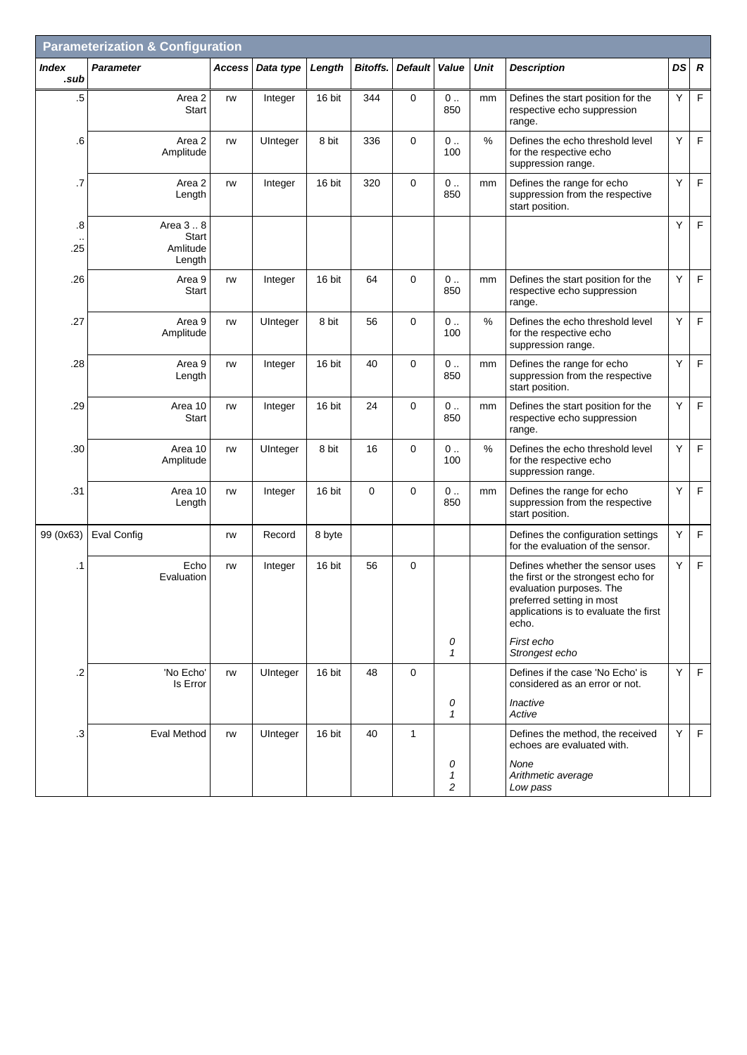|                | <b>Parameterization &amp; Configuration</b> |               |           |        |             |                |                   |      |                                                                                                                                                                                   |    |                  |
|----------------|---------------------------------------------|---------------|-----------|--------|-------------|----------------|-------------------|------|-----------------------------------------------------------------------------------------------------------------------------------------------------------------------------------|----|------------------|
| Index<br>.sub  | <b>Parameter</b>                            | <b>Access</b> | Data type | Length | Bitoffs.    | <b>Default</b> | Value             | Unit | <b>Description</b>                                                                                                                                                                | DS | $\boldsymbol{R}$ |
| $\overline{5}$ | Area 2<br>Start                             | rw            | Integer   | 16 bit | 344         | 0              | $0$<br>850        | mm   | Defines the start position for the<br>respective echo suppression<br>range.                                                                                                       | Y  | $\mathsf F$      |
| .6             | Area 2<br>Amplitude                         | rw            | UInteger  | 8 bit  | 336         | $\mathbf 0$    | $0$<br>100        | %    | Defines the echo threshold level<br>for the respective echo<br>suppression range.                                                                                                 | Y  | $\mathsf F$      |
| .7             | Area 2<br>Length                            | rw            | Integer   | 16 bit | 320         | 0              | $0$<br>850        | mm   | Defines the range for echo<br>suppression from the respective<br>start position.                                                                                                  | Y  | $\mathsf F$      |
| .8             | Area 3  8                                   |               |           |        |             |                |                   |      |                                                                                                                                                                                   | Y  | $\mathsf F$      |
| .25            | Start<br>Amlitude<br>Length                 |               |           |        |             |                |                   |      |                                                                                                                                                                                   |    |                  |
| .26            | Area 9<br>Start                             | rw            | Integer   | 16 bit | 64          | 0              | $0$<br>850        | mm   | Defines the start position for the<br>respective echo suppression<br>range.                                                                                                       | Y  | F                |
| .27            | Area 9<br>Amplitude                         | rw            | UInteger  | 8 bit  | 56          | $\mathbf 0$    | $0$<br>100        | %    | Defines the echo threshold level<br>for the respective echo<br>suppression range.                                                                                                 | Y  | $\mathsf F$      |
| .28            | Area 9<br>Length                            | rw            | Integer   | 16 bit | 40          | 0              | $0$<br>850        | mm   | Defines the range for echo<br>suppression from the respective<br>start position.                                                                                                  | Y  | $\mathsf F$      |
| .29            | Area 10<br>Start                            | rw            | Integer   | 16 bit | 24          | 0              | $0$<br>850        | mm   | Defines the start position for the<br>respective echo suppression<br>range.                                                                                                       | Y  | $\mathsf F$      |
| .30            | Area 10<br>Amplitude                        | rw            | UInteger  | 8 bit  | 16          | 0              | $0$<br>100        | $\%$ | Defines the echo threshold level<br>for the respective echo<br>suppression range.                                                                                                 | Y  | $\mathsf F$      |
| .31            | Area 10<br>Length                           | rw            | Integer   | 16 bit | $\mathbf 0$ | $\mathbf 0$    | $0$<br>850        | mm   | Defines the range for echo<br>suppression from the respective<br>start position.                                                                                                  | Y  | $\mathsf F$      |
| 99 (0x63)      | <b>Eval Config</b>                          | rw            | Record    | 8 byte |             |                |                   |      | Defines the configuration settings<br>for the evaluation of the sensor.                                                                                                           | Y  | F                |
| $\cdot$ 1      | Echo<br>Evaluation                          | rw            | Integer   | 16 bit | 56          | $\mathbf 0$    |                   |      | Defines whether the sensor uses<br>the first or the strongest echo for<br>evaluation purposes. The<br>preferred setting in most<br>applications is to evaluate the first<br>echo. | Y  | $\mathsf F$      |
|                |                                             |               |           |        |             |                | 0<br>$\mathbf{1}$ |      | First echo<br>Strongest echo                                                                                                                                                      |    |                  |
| $\cdot$ .2     | 'No Echo'<br>Is Error                       | rw            | UInteger  | 16 bit | 48          | $\Omega$       |                   |      | Defines if the case 'No Echo' is<br>considered as an error or not.                                                                                                                | Y  | F                |
|                |                                             |               |           |        |             |                | 0<br>$\mathbf{1}$ |      | Inactive<br>Active                                                                                                                                                                |    |                  |
| $\cdot$ 3      | Eval Method                                 | rw            | UInteger  | 16 bit | 40          | $\mathbf{1}$   |                   |      | Defines the method, the received<br>echoes are evaluated with.                                                                                                                    | Y  | F                |
|                |                                             |               |           |        |             |                | 0<br>1<br>2       |      | None<br>Arithmetic average<br>Low pass                                                                                                                                            |    |                  |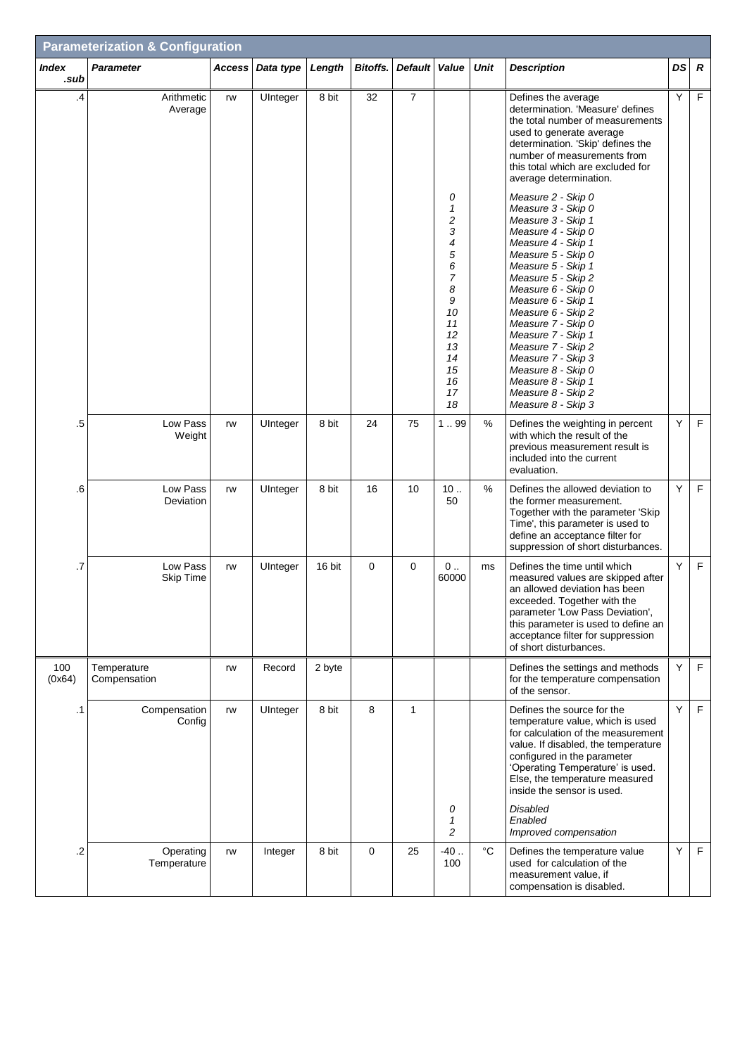| <b>Parameterization &amp; Configuration</b> |                              |               |           |        |             |                |                                                                                                                   |             |                                                                                                                                                                                                                                                                                                                                                                                                                                |    |                  |
|---------------------------------------------|------------------------------|---------------|-----------|--------|-------------|----------------|-------------------------------------------------------------------------------------------------------------------|-------------|--------------------------------------------------------------------------------------------------------------------------------------------------------------------------------------------------------------------------------------------------------------------------------------------------------------------------------------------------------------------------------------------------------------------------------|----|------------------|
| <b>Index</b><br>.sub                        | <b>Parameter</b>             | <b>Access</b> | Data type | Length | Bitoffs.    | <b>Default</b> | Value                                                                                                             | <b>Unit</b> | <b>Description</b>                                                                                                                                                                                                                                                                                                                                                                                                             | DS | $\boldsymbol{R}$ |
| .4                                          | Arithmetic<br>Average        | rw            | UInteger  | 8 bit  | 32          | $\overline{7}$ |                                                                                                                   |             | Defines the average<br>determination. 'Measure' defines<br>the total number of measurements<br>used to generate average<br>determination. 'Skip' defines the<br>number of measurements from<br>this total which are excluded for<br>average determination.                                                                                                                                                                     | Y  | F                |
|                                             |                              |               |           |        |             |                | 0<br>1<br>$\overline{c}$<br>3<br>4<br>5<br>6<br>7<br>8<br>9<br>10<br>11<br>12<br>13<br>14<br>15<br>16<br>17<br>18 |             | Measure 2 - Skip 0<br>Measure 3 - Skip 0<br>Measure 3 - Skip 1<br>Measure 4 - Skip 0<br>Measure 4 - Skip 1<br>Measure 5 - Skip 0<br>Measure 5 - Skip 1<br>Measure 5 - Skip 2<br>Measure 6 - Skip 0<br>Measure 6 - Skip 1<br>Measure 6 - Skip 2<br>Measure 7 - Skip 0<br>Measure 7 - Skip 1<br>Measure 7 - Skip 2<br>Measure 7 - Skip 3<br>Measure 8 - Skip 0<br>Measure 8 - Skip 1<br>Measure 8 - Skip 2<br>Measure 8 - Skip 3 |    |                  |
| .5                                          | Low Pass<br>Weight           | rw            | UInteger  | 8 bit  | 24          | 75             | 1.99                                                                                                              | $\%$        | Defines the weighting in percent<br>with which the result of the<br>previous measurement result is<br>included into the current<br>evaluation.                                                                                                                                                                                                                                                                                 | Y  | F                |
| .6                                          | Low Pass<br>Deviation        | rw            | UInteger  | 8 bit  | 16          | 10             | 10.<br>50                                                                                                         | $\%$        | Defines the allowed deviation to<br>the former measurement.<br>Together with the parameter 'Skip<br>Time', this parameter is used to<br>define an acceptance filter for<br>suppression of short disturbances.                                                                                                                                                                                                                  | Y  | F                |
| .7                                          | Low Pass<br><b>Skip Time</b> | rw            | UInteger  | 16 bit | $\mathbf 0$ | 0              | $0$<br>60000                                                                                                      | ms          | Defines the time until which<br>measured values are skipped after<br>an allowed deviation has been<br>exceeded. Together with the<br>parameter 'Low Pass Deviation',<br>this parameter is used to define an<br>acceptance filter for suppression<br>of short disturbances.                                                                                                                                                     | Y  | F                |
| 100<br>(0x64)                               | Temperature<br>Compensation  | rw            | Record    | 2 byte |             |                |                                                                                                                   |             | Defines the settings and methods<br>for the temperature compensation<br>of the sensor.                                                                                                                                                                                                                                                                                                                                         | Y  | F                |
| .1                                          | Compensation<br>Config       | rw            | UInteger  | 8 bit  | 8           | $\mathbf{1}$   | 0<br>1                                                                                                            |             | Defines the source for the<br>temperature value, which is used<br>for calculation of the measurement<br>value. If disabled, the temperature<br>configured in the parameter<br>'Operating Temperature' is used.<br>Else, the temperature measured<br>inside the sensor is used.<br><b>Disabled</b><br>Enabled                                                                                                                   | Y  | F                |
| .2                                          | Operating<br>Temperature     | rw            | Integer   | 8 bit  | $\mathbf 0$ | 25             | $\overline{c}$<br>$-40$ .<br>100                                                                                  | $^{\circ}C$ | Improved compensation<br>Defines the temperature value<br>used for calculation of the<br>measurement value, if<br>compensation is disabled.                                                                                                                                                                                                                                                                                    | Y  | F                |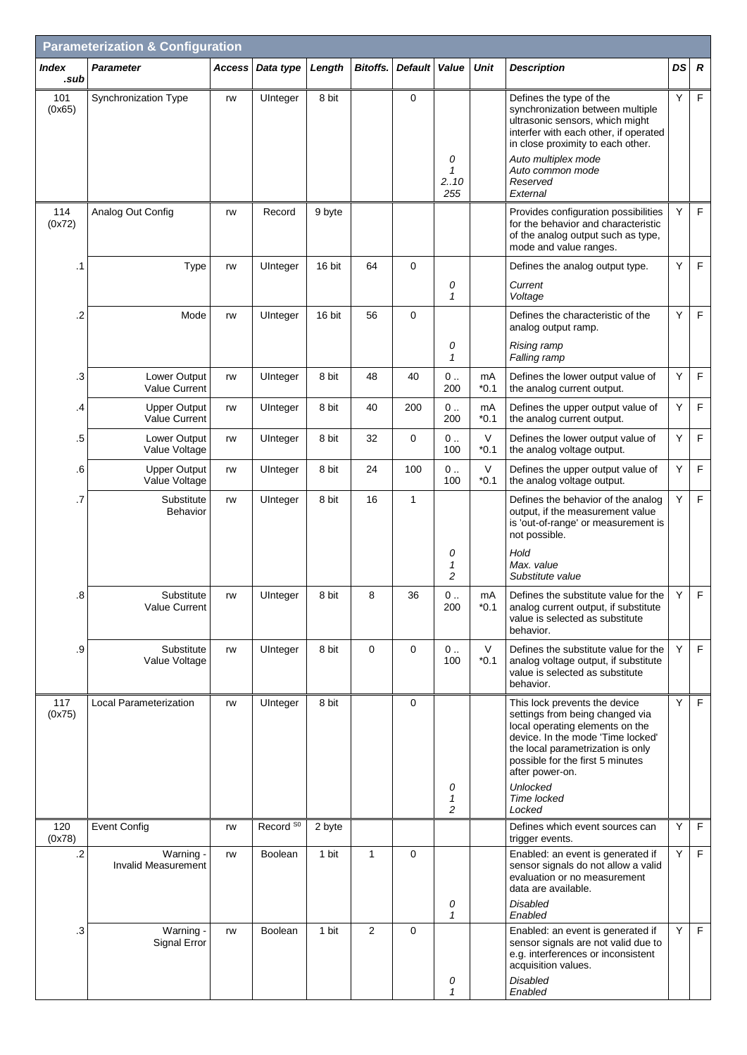| <b>Parameterization &amp; Configuration</b> |                                             |        |                      |        |                |                |                            |                  |                                                                                                                                                                                                                                                                                  |    |                  |
|---------------------------------------------|---------------------------------------------|--------|----------------------|--------|----------------|----------------|----------------------------|------------------|----------------------------------------------------------------------------------------------------------------------------------------------------------------------------------------------------------------------------------------------------------------------------------|----|------------------|
| <b>Index</b><br>.sub                        | <b>Parameter</b>                            | Access | Data type            | Length | Bitoffs.       | <b>Default</b> | Value                      | <b>Unit</b>      | <b>Description</b>                                                                                                                                                                                                                                                               | DS | $\boldsymbol{R}$ |
| 101<br>(0x65)                               | <b>Synchronization Type</b>                 | rw     | UInteger             | 8 bit  |                | 0              | 0<br>1<br>2.10<br>255      |                  | Defines the type of the<br>synchronization between multiple<br>ultrasonic sensors, which might<br>interfer with each other, if operated<br>in close proximity to each other.<br>Auto multiplex mode<br>Auto common mode<br>Reserved<br>External                                  | Υ  | $\mathsf F$      |
| 114<br>(0x72)                               | Analog Out Config                           | rw     | Record               | 9 byte |                |                |                            |                  | Provides configuration possibilities<br>for the behavior and characteristic<br>of the analog output such as type,<br>mode and value ranges.                                                                                                                                      | Y  | F                |
| .1                                          | Type                                        | rw     | UInteger             | 16 bit | 64             | 0              | 0<br>$\mathbf{1}$          |                  | Defines the analog output type.<br>Current<br>Voltage                                                                                                                                                                                                                            | Υ  | $\mathsf F$      |
| .2                                          | Mode                                        | rw     | UInteger             | 16 bit | 56             | 0              | 0                          |                  | Defines the characteristic of the<br>analog output ramp.<br>Rising ramp                                                                                                                                                                                                          | Y  | $\mathsf F$      |
| .3                                          | Lower Output                                | rw     | UInteger             | 8 bit  | 48             | 40             | 1<br>$0$                   | mA               | Falling ramp<br>Defines the lower output value of                                                                                                                                                                                                                                | Υ  | $\mathsf F$      |
| .4                                          | <b>Value Current</b><br><b>Upper Output</b> | rw     | UInteger             | 8 bit  | 40             | 200            | 200<br>$0$                 | $*0.1$<br>mA     | the analog current output.<br>Defines the upper output value of                                                                                                                                                                                                                  | Υ  | F                |
|                                             | Value Current                               |        |                      |        |                |                | 200                        | $*0.1$           | the analog current output.                                                                                                                                                                                                                                                       |    |                  |
| .5                                          | Lower Output<br>Value Voltage               | rw     | UInteger             | 8 bit  | 32             | 0              | $0$<br>100                 | $\vee$<br>$*0.1$ | Defines the lower output value of<br>the analog voltage output.                                                                                                                                                                                                                  | Υ  | $\mathsf F$      |
| .6                                          | <b>Upper Output</b><br>Value Voltage        | rw     | UInteger             | 8 bit  | 24             | 100            | $0$<br>100                 | $\vee$<br>$*0.1$ | Defines the upper output value of<br>the analog voltage output.                                                                                                                                                                                                                  | Υ  | F                |
| .7                                          | Substitute<br>Behavior                      | rw     | UInteger             | 8 bit  | 16             | $\mathbf{1}$   | 0<br>1                     |                  | Defines the behavior of the analog<br>output, if the measurement value<br>is 'out-of-range' or measurement is<br>not possible.<br>Hold<br>Max. value                                                                                                                             | Y  | F                |
| 8                                           | Substitute<br>Value Current                 | rw     | UInteger             | 8 bit  | 8              | 36             | $\overline{c}$<br>0<br>200 | mA<br>$*0.1$     | Substitute value<br>Defines the substitute value for the<br>analog current output, if substitute<br>value is selected as substitute<br>behavior.                                                                                                                                 | Y  | F                |
| .9                                          | Substitute<br>Value Voltage                 | rw     | UInteger             | 8 bit  | $\mathbf{0}$   | $\mathbf 0$    | $0$<br>100                 | $\vee$<br>$*0.1$ | Defines the substitute value for the<br>analog voltage output, if substitute<br>value is selected as substitute<br>behavior.                                                                                                                                                     | Y  | F                |
| 117<br>(0x75)                               | Local Parameterization                      | rw     | UInteger             | 8 bit  |                | 0              | 0<br>1<br>$\overline{c}$   |                  | This lock prevents the device<br>settings from being changed via<br>local operating elements on the<br>device. In the mode 'Time locked'<br>the local parametrization is only<br>possible for the first 5 minutes<br>after power-on.<br><b>Unlocked</b><br>Time locked<br>Locked | Y  | F                |
| 120<br>(0x78)                               | <b>Event Config</b>                         | rw     | Record <sup>S0</sup> | 2 byte |                |                |                            |                  | Defines which event sources can<br>trigger events.                                                                                                                                                                                                                               | Y  | F                |
| $\cdot$ .2                                  | Warning -<br><b>Invalid Measurement</b>     | rw     | Boolean              | 1 bit  | $\mathbf{1}$   | 0              | 0<br>1                     |                  | Enabled: an event is generated if<br>sensor signals do not allow a valid<br>evaluation or no measurement<br>data are available.<br><b>Disabled</b><br>Enabled                                                                                                                    | Y  | F                |
| .3                                          | Warning -<br>Signal Error                   | rw     | <b>Boolean</b>       | 1 bit  | $\overline{2}$ | 0              | 0<br>$\mathbf{1}$          |                  | Enabled: an event is generated if<br>sensor signals are not valid due to<br>e.g. interferences or inconsistent<br>acquisition values.<br><b>Disabled</b><br>Enabled                                                                                                              | Y  | F                |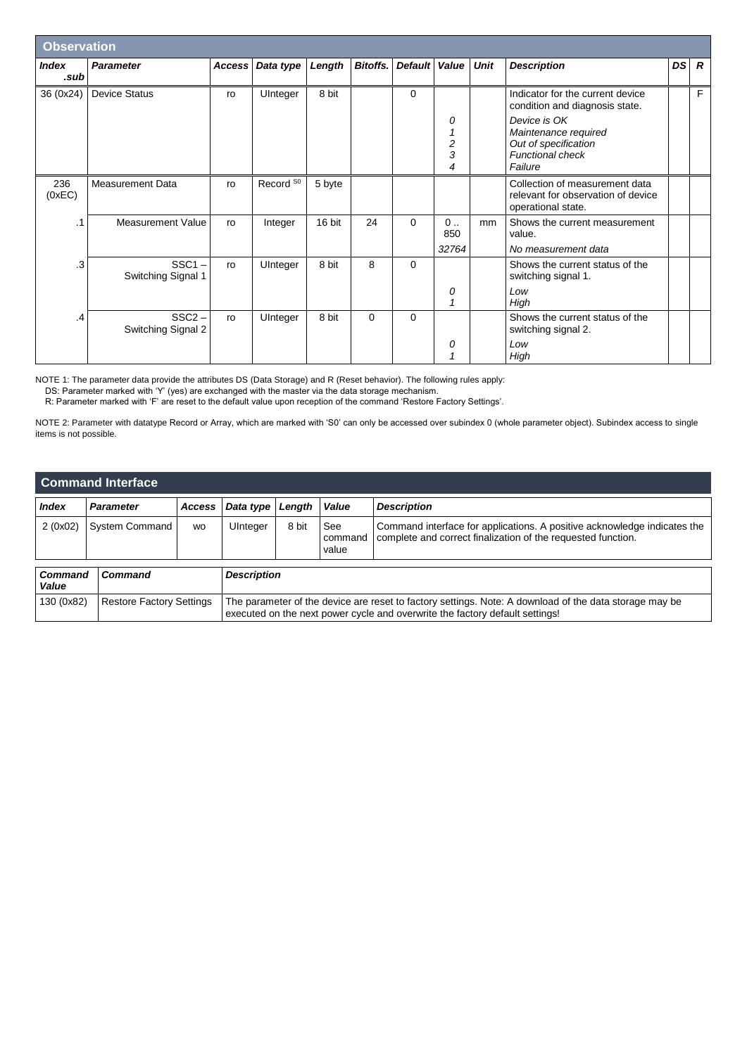| <b>Observation</b>   |                                |               |                      |        |                 |                |                                               |             |                                                                                                    |           |                |
|----------------------|--------------------------------|---------------|----------------------|--------|-----------------|----------------|-----------------------------------------------|-------------|----------------------------------------------------------------------------------------------------|-----------|----------------|
| <b>Index</b><br>.sub | <b>Parameter</b>               | <b>Access</b> | Data type            | Length | <b>Bitoffs.</b> | <b>Default</b> | Value                                         | <b>Unit</b> | <b>Description</b>                                                                                 | <b>DS</b> | $\overline{R}$ |
| 36 (0x24)            | <b>Device Status</b>           | ro            | UInteger             | 8 bit  |                 | 0              |                                               |             | Indicator for the current device<br>condition and diagnosis state.                                 |           | F              |
|                      |                                |               |                      |        |                 |                | 0<br>$\mathcal I$<br>$\overline{c}$<br>3<br>4 |             | Device is OK<br>Maintenance required<br>Out of specification<br><b>Functional check</b><br>Failure |           |                |
| 236<br>(0xEC)        | <b>Measurement Data</b>        | ro            | Record <sup>S0</sup> | 5 byte |                 |                |                                               |             | Collection of measurement data<br>relevant for observation of device<br>operational state.         |           |                |
| . 1                  | <b>Measurement Value</b>       | ro            | Integer              | 16 bit | 24              | $\Omega$       | $0 \ldots$<br>850                             | mm          | Shows the current measurement<br>value.                                                            |           |                |
| .3                   | $SSC1 -$<br>Switching Signal 1 | ro            | UInteger             | 8 bit  | 8               | $\Omega$       | 32764<br>0<br>1                               |             | No measurement data<br>Shows the current status of the<br>switching signal 1.<br>Low<br>High       |           |                |
| $\cdot$              | $SSC2 -$<br>Switching Signal 2 | ro            | UInteger             | 8 bit  | $\Omega$        | $\Omega$       | 0<br>1                                        |             | Shows the current status of the<br>switching signal 2.<br>Low<br>High                              |           |                |

NOTE 1: The parameter data provide the attributes DS (Data Storage) and R (Reset behavior). The following rules apply:

DS: Parameter marked with 'Y' (yes) are exchanged with the master via the data storage mechanism.

R: Parameter marked with 'F' are reset to the default value upon reception of the command 'Restore Factory Settings'.

NOTE 2: Parameter with datatype Record or Array, which are marked with 'S0' can only be accessed over subindex 0 (whole parameter object). Subindex access to single items is not possible.

| <b>Command Interface</b> |                                 |                    |                                                                                                                                                                                        |        |                         |                                                                                                                                          |  |  |  |  |
|--------------------------|---------------------------------|--------------------|----------------------------------------------------------------------------------------------------------------------------------------------------------------------------------------|--------|-------------------------|------------------------------------------------------------------------------------------------------------------------------------------|--|--|--|--|
| <b>Index</b>             | <b>Parameter</b>                | <b>Access</b>      | Data type                                                                                                                                                                              | Length | Value                   | <b>Description</b>                                                                                                                       |  |  |  |  |
| 2(0x02)                  | <b>System Command</b>           | <b>WO</b>          | UInteger                                                                                                                                                                               | 8 bit  | See<br>command<br>value | Command interface for applications. A positive acknowledge indicates the<br>complete and correct finalization of the requested function. |  |  |  |  |
| Command<br>Value         | Command                         | <b>Description</b> |                                                                                                                                                                                        |        |                         |                                                                                                                                          |  |  |  |  |
| 130 (0x82)               | <b>Restore Factory Settings</b> |                    | The parameter of the device are reset to factory settings. Note: A download of the data storage may be<br>executed on the next power cycle and overwrite the factory default settings! |        |                         |                                                                                                                                          |  |  |  |  |